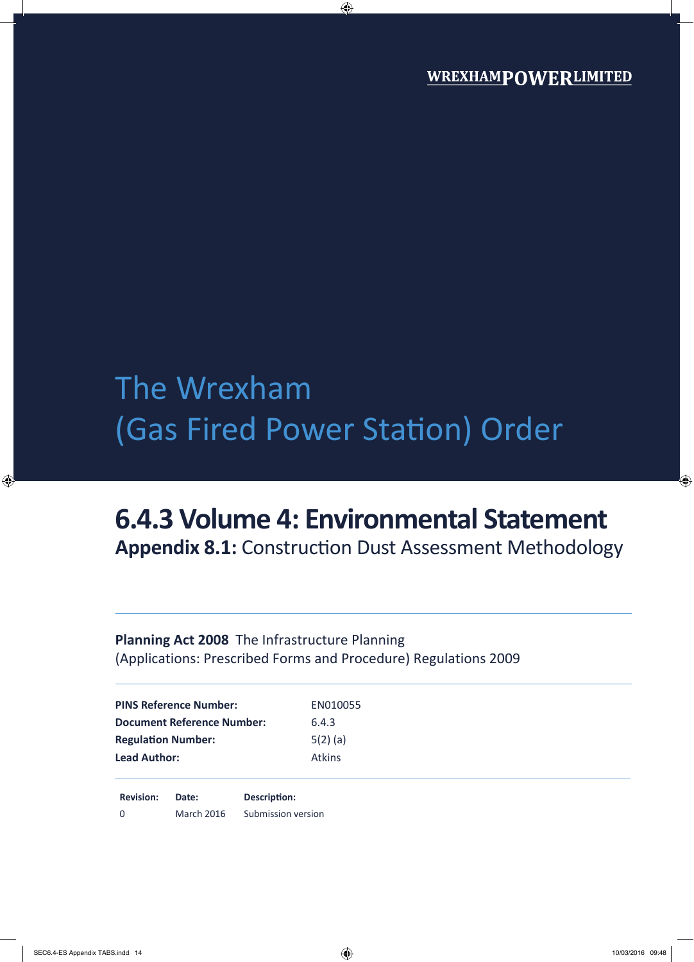# The Wrexham (Gas Fired Power Station) Order

## **6.4.3 Volume 4: Environmental Statement**

**Appendix 8.1:** Construction Dust Assessment Methodology

### **Planning Act 2008** The Infrastructure Planning (Applications: Prescribed Forms and Procedure) Regulations 2009

| <b>PINS Reference Number:</b>     | EN010055      |
|-----------------------------------|---------------|
| <b>Document Reference Number:</b> | 6.4.3         |
| <b>Regulation Number:</b>         | $5(2)$ (a)    |
| <b>Lead Author:</b>               | <b>Atkins</b> |
|                                   |               |

**Revision: Date: Description:** 0 March 2016 Submission version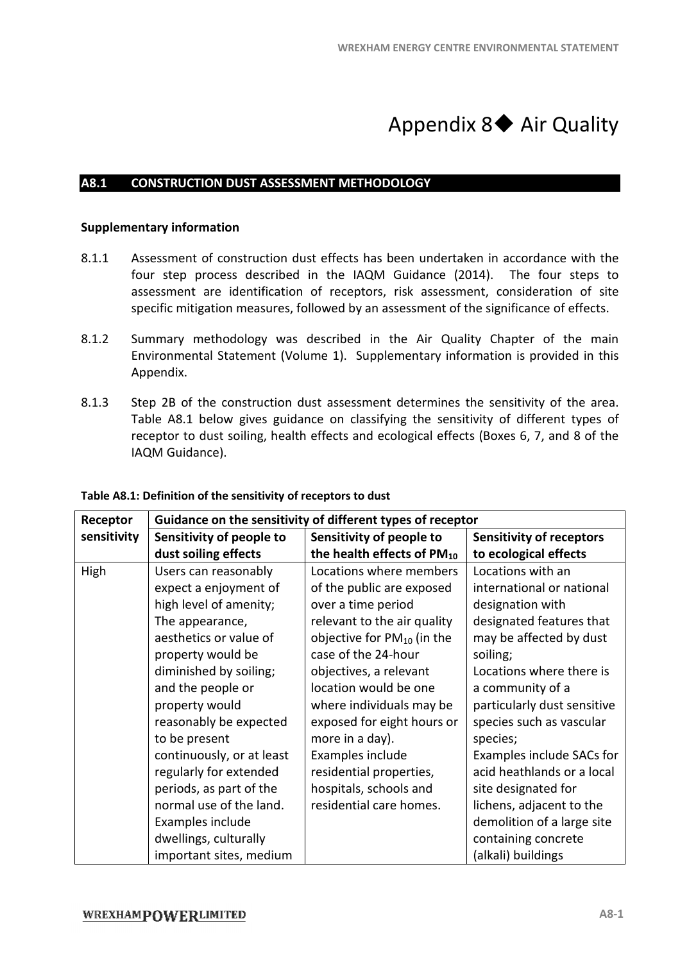### Appendix 8◆ Air Quality

#### **A8.1 CONSTRUCTION DUST ASSESSMENT METHODOLO ASSESSMENT METHODOLOGY**

#### **Supplementary information**

- 8.1.1 Assessment of construction dust effects has been undertaken in accordance with the four step process described in the IAQM Guidance (2014). The four steps to assessment are identification of receptors, risk assessment, consideration of site<br>specific mitigation measures, followed by an assessment of the significance of effects. specific mitigation measures, followed by an assessment
- 8.1.2 Summary methodology was described in the Air Quality Chapter of the main Environmental Statement ( Environmental Statement (Volume 1). Supplementary information is provided in this Appendix.
- 8.1.3 Step 2B of the construction dust assessment determines the sensitivity of the area. Table A8.1 below gives guidance on classifying the sensitivity of different types of receptor to dust soiling, health effects and ecological effects (Boxes 6, 7, and 8 of the IAQM Guidance).

| Receptor    |                           | Guidance on the sensitivity of different types of receptor |                                 |
|-------------|---------------------------|------------------------------------------------------------|---------------------------------|
| sensitivity | Sensitivity of people to  | Sensitivity of people to                                   | <b>Sensitivity of receptors</b> |
|             | dust soiling effects      | the health effects of $PM_{10}$                            | to ecological effects           |
| High        | Users can reasonably      | Locations where members                                    | Locations with an               |
|             | expect a enjoyment of     | of the public are exposed                                  | international or national       |
|             | high level of amenity;    | over a time period                                         | designation with                |
|             | The appearance,           | relevant to the air quality                                | designated features that        |
|             | aesthetics or value of    | objective for $PM_{10}$ (in the                            | may be affected by dust         |
|             | property would be         | case of the 24-hour                                        | soiling;                        |
|             | diminished by soiling;    | objectives, a relevant                                     | Locations where there is        |
|             | and the people or         | location would be one                                      | a community of a                |
|             | property would            | where individuals may be                                   | particularly dust sensitive     |
|             | reasonably be expected    | exposed for eight hours or                                 | species such as vascular        |
|             | to be present             | more in a day).                                            | species;                        |
|             | continuously, or at least | Examples include                                           | Examples include SACs for       |
|             | regularly for extended    | residential properties,                                    | acid heathlands or a local      |
|             | periods, as part of the   | hospitals, schools and                                     | site designated for             |
|             | normal use of the land.   | residential care homes.                                    | lichens, adjacent to the        |
|             | Examples include          |                                                            | demolition of a large site      |
|             | dwellings, culturally     |                                                            | containing concrete             |
|             | important sites, medium   |                                                            | (alkali) buildings              |

**Table A8.1: Definition of the sensitivity of receptors to dust**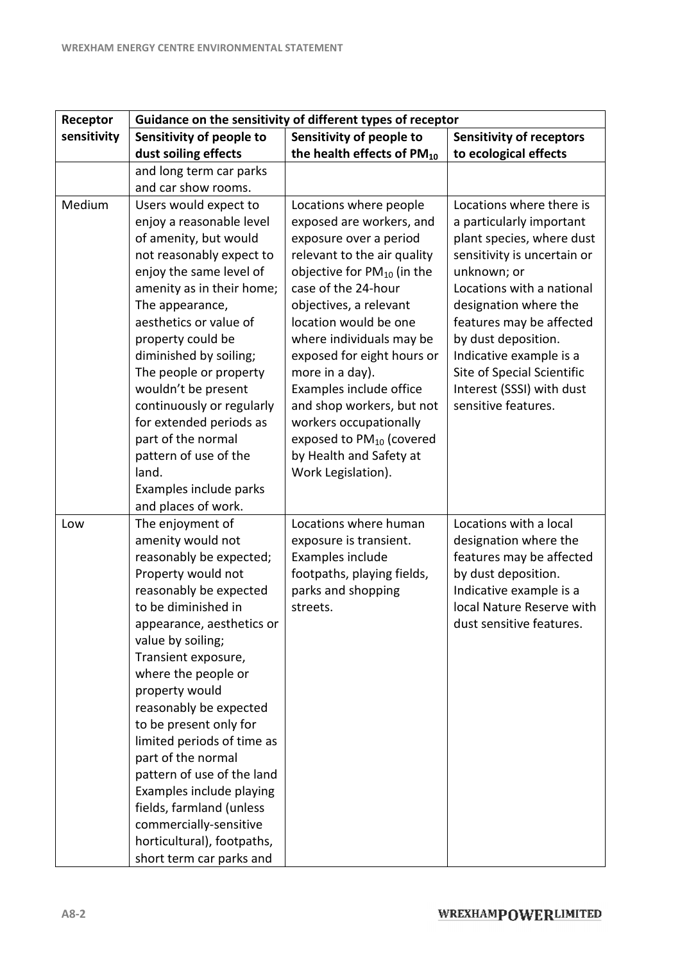| Receptor    | Guidance on the sensitivity of different types of receptor                                                                                                                                                                                                                                                                                                                                                                                                                                                                                  |                                                                                                                                                                                                                                                                                                                                                                                                                                                                           |                                                                                                                                                                                                                                                                                                                                                       |  |  |
|-------------|---------------------------------------------------------------------------------------------------------------------------------------------------------------------------------------------------------------------------------------------------------------------------------------------------------------------------------------------------------------------------------------------------------------------------------------------------------------------------------------------------------------------------------------------|---------------------------------------------------------------------------------------------------------------------------------------------------------------------------------------------------------------------------------------------------------------------------------------------------------------------------------------------------------------------------------------------------------------------------------------------------------------------------|-------------------------------------------------------------------------------------------------------------------------------------------------------------------------------------------------------------------------------------------------------------------------------------------------------------------------------------------------------|--|--|
| sensitivity | Sensitivity of people to                                                                                                                                                                                                                                                                                                                                                                                                                                                                                                                    | Sensitivity of people to                                                                                                                                                                                                                                                                                                                                                                                                                                                  | <b>Sensitivity of receptors</b>                                                                                                                                                                                                                                                                                                                       |  |  |
|             | dust soiling effects                                                                                                                                                                                                                                                                                                                                                                                                                                                                                                                        | the health effects of $PM_{10}$                                                                                                                                                                                                                                                                                                                                                                                                                                           | to ecological effects                                                                                                                                                                                                                                                                                                                                 |  |  |
|             | and long term car parks                                                                                                                                                                                                                                                                                                                                                                                                                                                                                                                     |                                                                                                                                                                                                                                                                                                                                                                                                                                                                           |                                                                                                                                                                                                                                                                                                                                                       |  |  |
|             | and car show rooms.                                                                                                                                                                                                                                                                                                                                                                                                                                                                                                                         |                                                                                                                                                                                                                                                                                                                                                                                                                                                                           |                                                                                                                                                                                                                                                                                                                                                       |  |  |
| Medium      | Users would expect to<br>enjoy a reasonable level<br>of amenity, but would<br>not reasonably expect to<br>enjoy the same level of<br>amenity as in their home;<br>The appearance,<br>aesthetics or value of<br>property could be<br>diminished by soiling;<br>The people or property<br>wouldn't be present<br>continuously or regularly<br>for extended periods as<br>part of the normal<br>pattern of use of the<br>land.<br>Examples include parks<br>and places of work.                                                                | Locations where people<br>exposed are workers, and<br>exposure over a period<br>relevant to the air quality<br>objective for $PM_{10}$ (in the<br>case of the 24-hour<br>objectives, a relevant<br>location would be one<br>where individuals may be<br>exposed for eight hours or<br>more in a day).<br>Examples include office<br>and shop workers, but not<br>workers occupationally<br>exposed to $PM_{10}$ (covered<br>by Health and Safety at<br>Work Legislation). | Locations where there is<br>a particularly important<br>plant species, where dust<br>sensitivity is uncertain or<br>unknown; or<br>Locations with a national<br>designation where the<br>features may be affected<br>by dust deposition.<br>Indicative example is a<br>Site of Special Scientific<br>Interest (SSSI) with dust<br>sensitive features. |  |  |
| Low         | The enjoyment of<br>amenity would not<br>reasonably be expected;<br>Property would not<br>reasonably be expected<br>to be diminished in<br>appearance, aesthetics or<br>value by soiling;<br>Transient exposure,<br>where the people or<br>property would<br>reasonably be expected<br>to be present only for<br>limited periods of time as<br>part of the normal<br>pattern of use of the land<br>Examples include playing<br>fields, farmland (unless<br>commercially-sensitive<br>horticultural), footpaths,<br>short term car parks and | Locations where human<br>exposure is transient.<br>Examples include<br>footpaths, playing fields,<br>parks and shopping<br>streets.                                                                                                                                                                                                                                                                                                                                       | Locations with a local<br>designation where the<br>features may be affected<br>by dust deposition.<br>Indicative example is a<br>local Nature Reserve with<br>dust sensitive features.                                                                                                                                                                |  |  |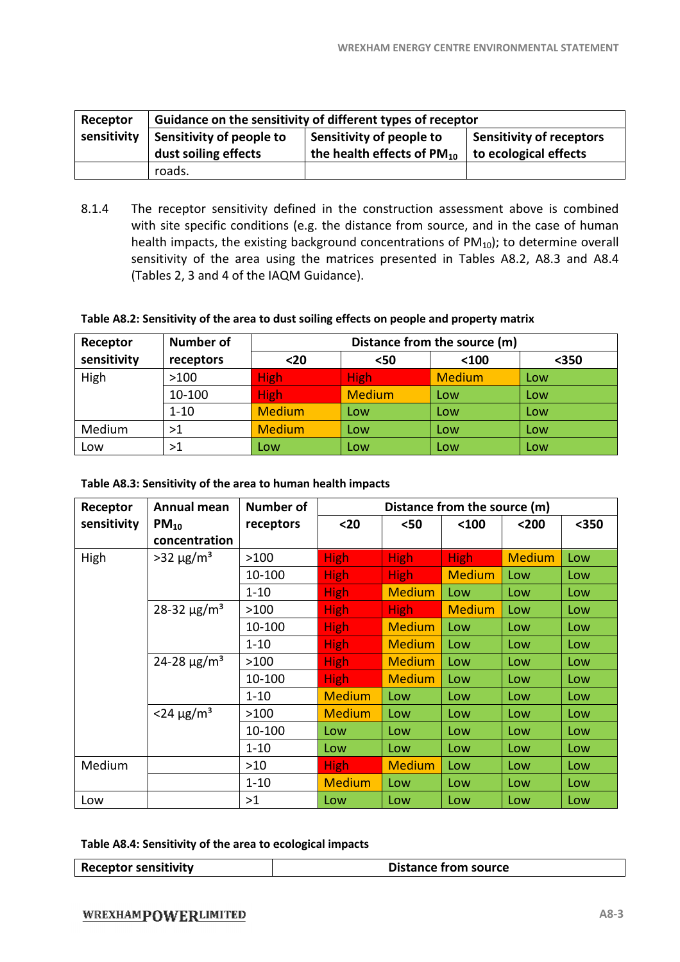| Receptor    | Guidance on the sensitivity of different types of receptor                       |                                 |                               |  |  |
|-------------|----------------------------------------------------------------------------------|---------------------------------|-------------------------------|--|--|
| sensitivity | Sensitivity of people to<br>Sensitivity of receptors<br>Sensitivity of people to |                                 |                               |  |  |
|             | dust soiling effects                                                             | the health effects of $PM_{10}$ | $\vert$ to ecological effects |  |  |
|             | roads.                                                                           |                                 |                               |  |  |

8.1.4 The receptor sensitivity defined in the construction assessment above is combined with site specific conditions (e.g. the distance from source, and in the case of human health impacts, the existing background concentrations of PM<sub>10</sub>); to determine overall health impacts, the existing background concentrations of  $PM_{10}$ ); to determine overall sensitivity of the area using the matrices presented in Tables A8.2, A (Tables 2, 3 and 4 of the IAQM Guidance) 3 Guidance). above is combined<br>the case of human<br>o determine overall<br>8.2, A8.3 and A8.4

#### **Table A8.2: Sensitivity of the area to d dust soiling effects on people and property matrix**

| Receptor    | <b>Number of</b> | Distance from the source (m) |               |               |       |
|-------------|------------------|------------------------------|---------------|---------------|-------|
| sensitivity | receptors        | $20$                         | <50           | $100$         | $350$ |
| High        | >100             | <b>High</b>                  | <b>High</b>   | <b>Medium</b> | Low   |
|             | 10-100           | <b>High</b>                  | <b>Medium</b> | Low           | Low   |
|             | $1 - 10$         | <b>Medium</b>                | Low           | Low           | Low   |
| Medium      | >1               | <b>Medium</b>                | Low           | Low           | Low   |
| Low         | >1               | Low                          | Low           | Low           | Low   |

#### **Table A8.3: Sensitivity of the area to h human health impacts**

| Receptor    | Annual mean                   | <b>Number of</b> | Distance from the source (m) |               |               |               |       |
|-------------|-------------------------------|------------------|------------------------------|---------------|---------------|---------------|-------|
| sensitivity | $PM_{10}$                     | receptors        | $20$                         | $50$          | $100$         | $200$         | $350$ |
|             | concentration                 |                  |                              |               |               |               |       |
| High        | $>32 \mu g/m^3$               | >100             | <b>High</b>                  | <b>High</b>   | <b>High</b>   | <b>Medium</b> | Low   |
|             |                               | 10-100           | <b>High</b>                  | <b>High</b>   | <b>Medium</b> | Low           | Low   |
|             |                               | $1 - 10$         | High,                        | <b>Medium</b> | Low           | Low           | Low   |
|             | 28-32 $\mu$ g/m <sup>3</sup>  | >100             | <b>High</b>                  | High          | <b>Medium</b> | Low           | Low   |
|             |                               | 10-100           | <b>High</b>                  | <b>Medium</b> | Low           | Low           | Low   |
|             |                               | $1 - 10$         | <b>High</b>                  | <b>Medium</b> | Low           | Low           | Low   |
|             | 24-28 $\mu$ g/m <sup>3</sup>  | >100             | <b>High</b>                  | <b>Medium</b> | Low           | Low           | Low   |
|             |                               | 10-100           | High.                        | <b>Medium</b> | Low           | Low           | Low   |
|             |                               | $1 - 10$         | <b>Medium</b>                | Low           | Low           | Low           | Low   |
|             | $<$ 24 $\mu$ g/m <sup>3</sup> | >100             | <b>Medium</b>                | Low           | Low           | Low           | Low   |
|             |                               | 10-100           | Low                          | Low           | Low           | Low           | Low   |
|             |                               | $1 - 10$         | Low                          | Low           | Low           | Low           | Low   |
| Medium      |                               | $>10$            | <b>High</b>                  | <b>Medium</b> | Low           | Low           | Low   |
|             |                               | $1 - 10$         | <b>Medium</b>                | Low           | Low           | Low           | Low   |
| Low         |                               | >1               | Low                          | Low           | Low           | Low           | Low   |

#### **Table A8.4: Sensitivity of the area to e ecological impacts**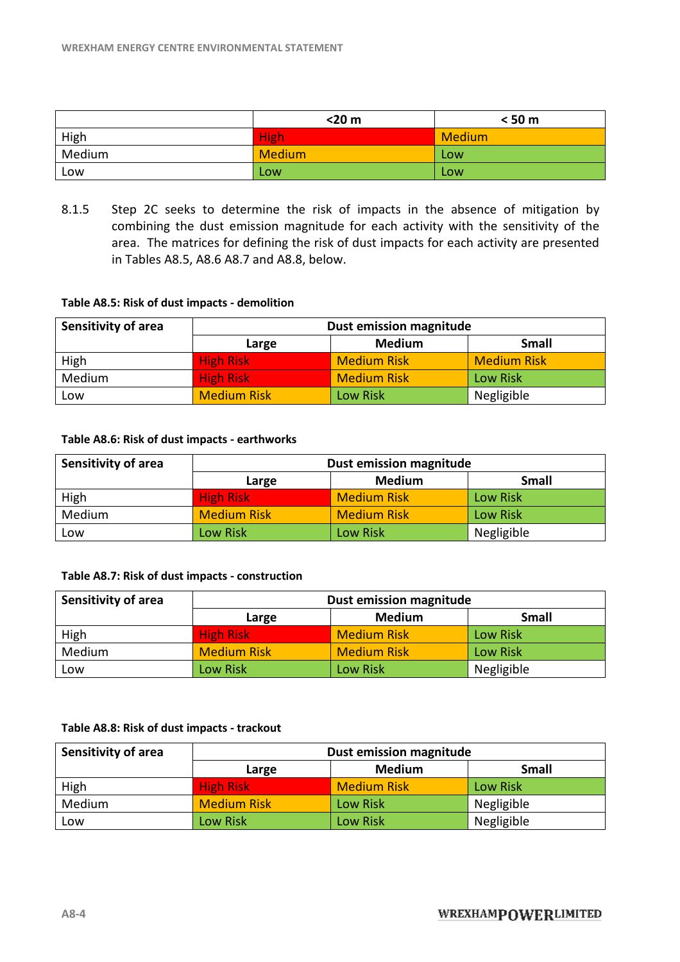|        | $<$ 20 $m$  | < 50 m        |
|--------|-------------|---------------|
| High   | <b>High</b> | <b>Medium</b> |
| Medium | Medium      | Low           |
| Low    | Low         | Low           |

8.1.5 Step 2C seeks to determine the risk of impacts in the absence of mitigation by combining the dust emission magnitude for each activity with the sensitivity of the area. The matrices for defining the risk of dust impacts for each activity are presented<br>in Tables A8.5, A8.6 A8.7 and A8.8, below. in Tables A8.5, A8.6 A8.7 and A8.8, below.

#### **Table A8.5: Risk of dust impacts - demolition emolition**

| Sensitivity of area | Dust emission magnitude         |                    |                    |  |  |
|---------------------|---------------------------------|--------------------|--------------------|--|--|
|                     | <b>Medium</b><br>Small<br>Large |                    |                    |  |  |
| High                | <b>High Risk</b>                | <b>Medium Risk</b> | <b>Medium Risk</b> |  |  |
| Medium              | <b>High Risk</b>                | <b>Medium Risk</b> | <b>Low Risk</b>    |  |  |
| Low                 | <b>Medium Risk</b>              | Low Risk           | Negligible         |  |  |

#### **Table A8.6: Risk of dust impacts - earthworks arthworks**

| Sensitivity of area | Dust emission magnitude                |                    |                 |  |  |
|---------------------|----------------------------------------|--------------------|-----------------|--|--|
|                     | <b>Medium</b><br><b>Small</b><br>Large |                    |                 |  |  |
| High                | <b>High Risk</b>                       | <b>Medium Risk</b> | <b>Low Risk</b> |  |  |
| Medium              | <b>Medium Risk</b>                     | <b>Medium Risk</b> | <b>Low Risk</b> |  |  |
| Low                 | <b>Low Risk</b>                        | <b>Low Risk</b>    | Negligible      |  |  |

#### **Table A8.7: Risk of dust impacts - construction onstruction**

| <b>Sensitivity of area</b> | Dust emission magnitude                |                    |                 |  |  |
|----------------------------|----------------------------------------|--------------------|-----------------|--|--|
|                            | <b>Small</b><br><b>Medium</b><br>Large |                    |                 |  |  |
| High                       | <b>High Risk</b>                       | <b>Medium Risk</b> | <b>Low Risk</b> |  |  |
| Medium                     | <b>Medium Risk</b>                     | <b>Medium Risk</b> | Low Risk        |  |  |
| Low                        | <b>Low Risk</b>                        | <b>Low Risk</b>    | Negligible      |  |  |

#### **Table A8.8: Risk of dust impacts - trackout rackout**

| <b>Sensitivity of area</b> | Dust emission magnitude                |                    |            |  |  |
|----------------------------|----------------------------------------|--------------------|------------|--|--|
|                            | <b>Medium</b><br><b>Small</b><br>Large |                    |            |  |  |
| High                       | <b>High Risk</b>                       | <b>Medium Risk</b> | Low Risk   |  |  |
| Medium                     | <b>Medium Risk</b>                     | <b>Low Risk</b>    | Negligible |  |  |
| Low                        | Low Risk                               | <b>Low Risk</b>    | Negligible |  |  |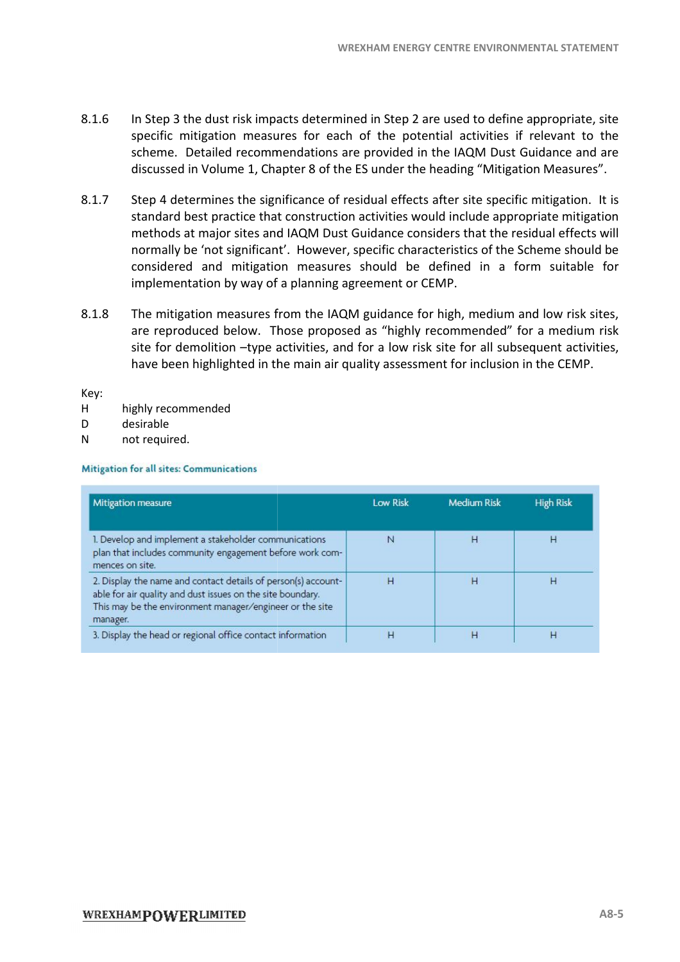- 8.1.6 In Step 3 the dust risk impacts determined in Step 2 are used to define appropriate, site specific mitigation measures for each of the potential activities if relevant to the scheme. Detailed recommendations are provided in the IAQM Dust Guidance and are discussed in Volume 1, Chapter 8 of the ES under the heading "Mitigation Measures".
- 8.1.7 Step 4 determines the significance of residual effects after site specific mitigation. It is standard best practice that construction activities would include appropriate mitigation methods at major sites and IAQM Dust Guidance considers that the residual effects will normally be 'not significant'. However, specific characteristics of the Scheme should be considered and mitigation measures should be defined in a form suitable for implementation by way of a planning agreement or CEMP. termines the significance of residual effects after site specific mitigation. It is<br>best practice that construction activities would include appropriate mitigation<br>at major sites and IAQM Dust Guidance considers that the r WREXHAM ENERGY CENTRE ENVIRONMENTAL<br>
Dacts determined in Step 2 are used to define appro<br>
ures for each of the potential activities if relev.<br>
mendations are provided in the IAQM Dust Guidan<br>
napter 8 of the ES under the h
- 8.1.8 The mitigation measures from the IAQM guidance for high, medium and low risk sites, are reproduced below. Those proposed as "highly recommended" for a medium risk site for demolition -type activities, and for a low have been highlighted in the main air quality assessment for inclusion in the CEMP.

Key:

- H highly recommended
- D desirable
- N not required.

**Mitigation for all sites: Communications** 

| <b>Mitigation measure</b>                                                                                                                                                                           | <b>Low Risk</b> | <b>Medium Risk</b> | <b>High Risk</b> |
|-----------------------------------------------------------------------------------------------------------------------------------------------------------------------------------------------------|-----------------|--------------------|------------------|
| 1. Develop and implement a stakeholder communications<br>plan that includes community engagement before work com-<br>mences on site.                                                                | N               | н                  | н                |
| 2. Display the name and contact details of person(s) account-<br>able for air quality and dust issues on the site boundary.<br>This may be the environment manager/engineer or the site<br>manager. | н               | н                  | н                |
| 3. Display the head or regional office contact information                                                                                                                                          | H               | н                  | н                |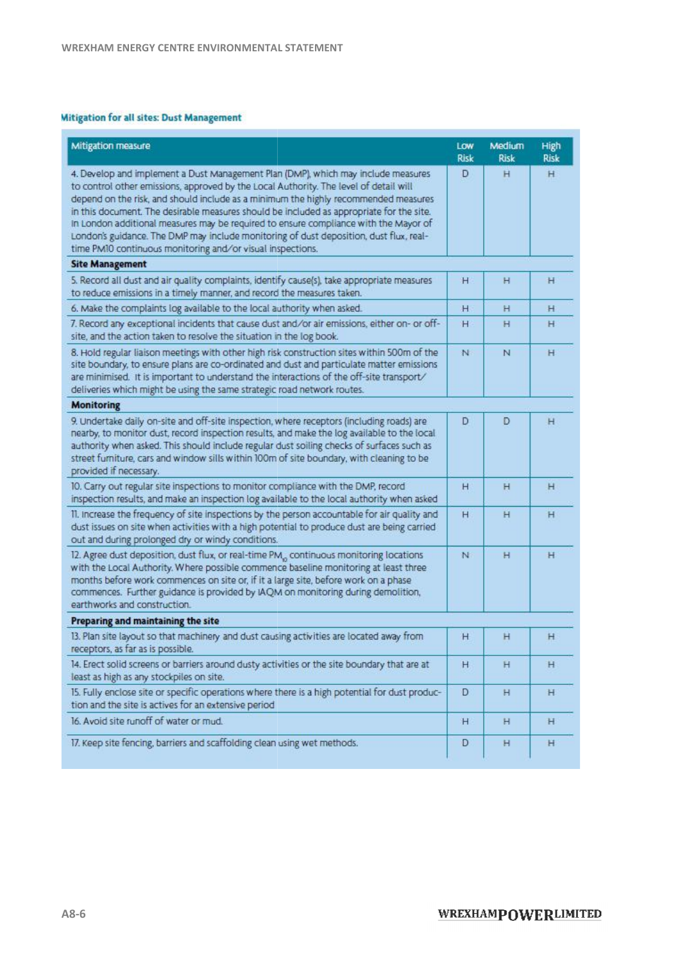#### **Mitigation for all sites: Dust Management**

| Mitigation measure                                                                                                                                                                                                                                                                                                                                                                                                                                                                                                                                                                                            | Low<br>Risk | Medium<br><b>Risk</b> | High<br><b>Risk</b> |
|---------------------------------------------------------------------------------------------------------------------------------------------------------------------------------------------------------------------------------------------------------------------------------------------------------------------------------------------------------------------------------------------------------------------------------------------------------------------------------------------------------------------------------------------------------------------------------------------------------------|-------------|-----------------------|---------------------|
| 4. Develop and implement a Dust Management Plan (DMP), which may include measures<br>to control other emissions, approved by the Local Authority. The level of detail will<br>depend on the risk, and should include as a minimum the highly recommended measures<br>in this document. The desirable measures should be included as appropriate for the site.<br>in London additional measures may be required to ensure compliance with the Mayor of<br>London's guidance. The DMP may include monitoring of dust deposition, dust flux, real-<br>time PM10 continuous monitoring and/or visual inspections. | D           | н                     | н                   |
| <b>Site Management</b>                                                                                                                                                                                                                                                                                                                                                                                                                                                                                                                                                                                        |             |                       |                     |
| 5. Record all dust and air quality complaints, identify cause(s), take appropriate measures<br>to reduce emissions in a timely manner, and record the measures taken.                                                                                                                                                                                                                                                                                                                                                                                                                                         | н           | н                     | н                   |
| 6. Make the complaints log available to the local authority when asked.                                                                                                                                                                                                                                                                                                                                                                                                                                                                                                                                       | н           | н                     | н                   |
| 7. Record any exceptional incidents that cause dust and/or air emissions, either on- or off-<br>site, and the action taken to resolve the situation in the log book.                                                                                                                                                                                                                                                                                                                                                                                                                                          | н           | н                     | н                   |
| 8. Hold regular liaison meetings with other high risk construction sites within 500m of the<br>site boundary, to ensure plans are co-ordinated and dust and particulate matter emissions<br>are minimised. It is important to understand the interactions of the off-site transport/<br>deliveries which might be using the same strategic road network routes.                                                                                                                                                                                                                                               | N           | N                     | н                   |
| <b>Monitoring</b>                                                                                                                                                                                                                                                                                                                                                                                                                                                                                                                                                                                             |             |                       |                     |
| 9. Undertake daily on-site and off-site inspection, where receptors (including roads) are<br>nearby, to monitor dust, record inspection results, and make the log available to the local<br>authority when asked. This should include regular dust soiling checks of surfaces such as<br>street furniture, cars and window sills within 100m of site boundary, with cleaning to be<br>provided if necessary.                                                                                                                                                                                                  | D           | Ð                     | н                   |
| 10. Carry out regular site inspections to monitor compliance with the DMP, record<br>inspection results, and make an inspection log available to the local authority when asked                                                                                                                                                                                                                                                                                                                                                                                                                               | н           | н                     | н                   |
| 11. Increase the frequency of site inspections by the person accountable for air quality and<br>dust issues on site when activities with a high potential to produce dust are being carried<br>out and during prolonged dry or windy conditions.                                                                                                                                                                                                                                                                                                                                                              | Н           | н                     | н                   |
| 12. Agree dust deposition, dust flux, or real-time PM., continuous monitoring locations<br>with the Local Authority. Where possible commence baseline monitoring at least three<br>months before work commences on site or, if it a large site, before work on a phase<br>commences. Further guidance is provided by IAQM on monitoring during demolition,<br>earthworks and construction.                                                                                                                                                                                                                    | N           | н                     | н                   |
| Preparing and maintaining the site                                                                                                                                                                                                                                                                                                                                                                                                                                                                                                                                                                            |             |                       |                     |
| 13. Plan site layout so that machinery and dust causing activities are located away from<br>receptors, as far as is possible.                                                                                                                                                                                                                                                                                                                                                                                                                                                                                 | н           | н                     | н                   |
| 14. Erect solid screens or barriers around dusty activities or the site boundary that are at<br>least as high as any stockpiles on site.                                                                                                                                                                                                                                                                                                                                                                                                                                                                      | н           | н                     | н                   |
| 15. Fully enclose site or specific operations where there is a high potential for dust produc-<br>tion and the site is actives for an extensive period                                                                                                                                                                                                                                                                                                                                                                                                                                                        | D           | н                     | н                   |
| 16. Avoid site runoff of water or mud.                                                                                                                                                                                                                                                                                                                                                                                                                                                                                                                                                                        | н           | н.                    | н                   |
| 17. Keep site fencing, barriers and scaffolding clean using wet methods.                                                                                                                                                                                                                                                                                                                                                                                                                                                                                                                                      | D           | н                     | н                   |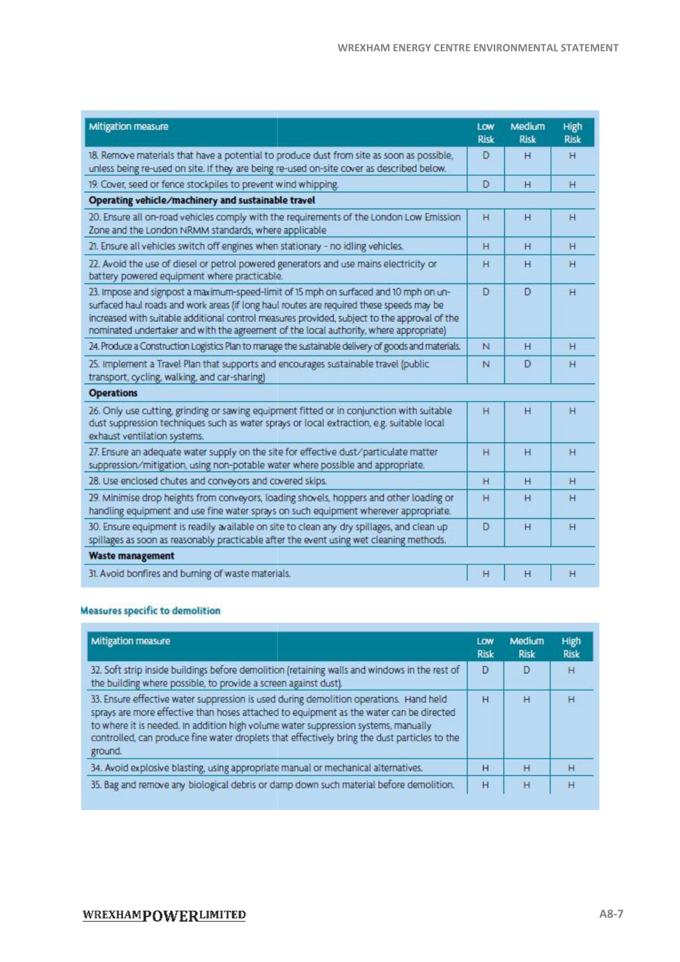| Mitigation measure                                                                                                                                                                                                                                                                                                                                                          | LOW<br><b>Risk</b> | Medium<br><b>Risk</b> | High<br>Risk |
|-----------------------------------------------------------------------------------------------------------------------------------------------------------------------------------------------------------------------------------------------------------------------------------------------------------------------------------------------------------------------------|--------------------|-----------------------|--------------|
| 18. Remove materials that have a potential to produce dust from site as soon as possible,<br>unless being re-used on site. If they are being re-used on-site cover as described below.                                                                                                                                                                                      | D                  | н                     | н            |
| 19. Cover, seed or fence stockpiles to prevent wind whipping.                                                                                                                                                                                                                                                                                                               | D                  | H                     | H            |
| Operating vehicle/machinery and sustainable travel                                                                                                                                                                                                                                                                                                                          |                    |                       |              |
| 20. Ensure all on-road vehicles comply with the requirements of the London Low Emission<br>Zone and the London NRMM standards, where applicable                                                                                                                                                                                                                             | н                  | н                     | н            |
| 21. Ensure all vehicles switch off engines when stationary - no idling vehicles.                                                                                                                                                                                                                                                                                            | H                  | H                     | н            |
| 22. Avoid the use of diesel or petrol powered generators and use mains electricity or<br>battery powered equipment where practicable.                                                                                                                                                                                                                                       | н                  | н                     | н            |
| 23. Impose and signpost a maximum-speed-limit of 15 mph on surfaced and 10 mph on un-<br>surfaced haul roads and work areas (if long haul routes are required these speeds may be<br>increased with suitable additional control measures provided, subject to the approval of the<br>nominated undertaker and with the agreement of the local authority, where appropriate) | Ð                  | D                     | н            |
| 24. Produce a Construction Logistics Plan to manage the sustainable delivery of goods and materials.                                                                                                                                                                                                                                                                        | N                  | н                     | н            |
| 25. Implement a Travel Plan that supports and encourages sustainable travel (public<br>transport, cycling, walking, and car-sharing)                                                                                                                                                                                                                                        | N                  | D                     | н            |
| <b>Operations</b>                                                                                                                                                                                                                                                                                                                                                           |                    |                       |              |
| 26. Only use cutting, grinding or sawing equipment fitted or in conjunction with suitable<br>dust suppression techniques such as water sprays or local extraction, e.g. suitable local<br>exhaust ventilation systems.                                                                                                                                                      | н                  | H                     | н            |
| 27. Ensure an adequate water supply on the site for effective dust/particulate matter<br>suppression/mitigation, using non-potable water where possible and appropriate.                                                                                                                                                                                                    | н                  | н                     | н            |
| 28. Use enclosed chutes and conveyors and covered skips.                                                                                                                                                                                                                                                                                                                    | н                  | н                     | н            |
| 29. Minimise drop heights from conveyors, loading shovels, hoppers and other loading or<br>handling equipment and use fine water sprays on such equipment wherever appropriate.                                                                                                                                                                                             | н                  | н                     | H            |
| 30. Ensure equipment is readily available on site to clean any dry spillages, and clean up<br>spillages as soon as reasonably practicable after the event using wet cleaning methods.                                                                                                                                                                                       | D                  | H                     | H            |
| <b>Waste management</b>                                                                                                                                                                                                                                                                                                                                                     |                    |                       |              |
| 31. Avoid bonfires and burning of waste materials.                                                                                                                                                                                                                                                                                                                          | Η                  | H                     | H            |

#### **Measures specific to demolition**

| Mitigation measure                                                                                                                                                                                                                                                                                                                                                                 | Low<br>Risk | Medium<br><b>Risk</b> | High<br><b>Risk</b> |
|------------------------------------------------------------------------------------------------------------------------------------------------------------------------------------------------------------------------------------------------------------------------------------------------------------------------------------------------------------------------------------|-------------|-----------------------|---------------------|
| 32. Soft strip inside buildings before demolition (retaining walls and windows in the rest of<br>the building where possible, to provide a screen against dust).                                                                                                                                                                                                                   | D           | D                     | H                   |
| 33. Ensure effective water suppression is used during demolition operations. Hand held<br>sprays are more effective than hoses attached to equipment as the water can be directed<br>to where it is needed. In addition high volume water suppression systems, manually<br>controlled, can produce fine water droplets that effectively bring the dust particles to the<br>ground. | H           | H                     |                     |
| 34. Avoid explosive blasting, using appropriate manual or mechanical alternatives.                                                                                                                                                                                                                                                                                                 | Н           | H                     | н                   |
| 35. Bag and remove any biological debris or damp down such material before demolition.                                                                                                                                                                                                                                                                                             | H           | Ĥ                     | Ή                   |